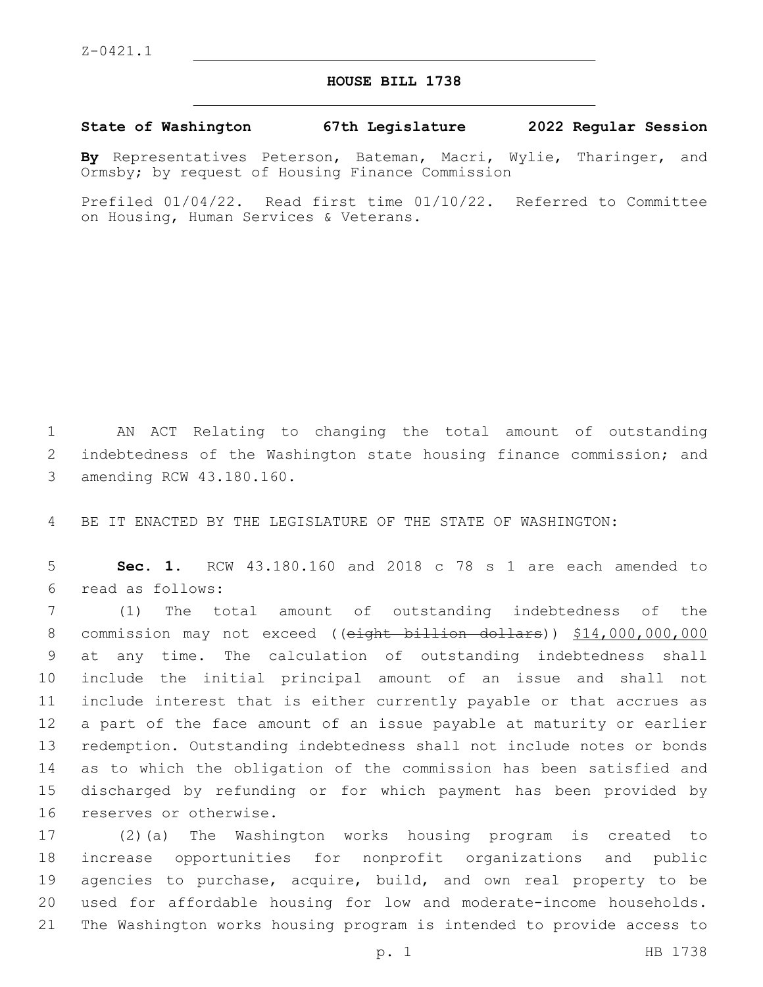## **HOUSE BILL 1738**

**State of Washington 67th Legislature 2022 Regular Session**

**By** Representatives Peterson, Bateman, Macri, Wylie, Tharinger, and Ormsby; by request of Housing Finance Commission

Prefiled 01/04/22. Read first time 01/10/22. Referred to Committee on Housing, Human Services & Veterans.

1 AN ACT Relating to changing the total amount of outstanding 2 indebtedness of the Washington state housing finance commission; and 3 amending RCW 43.180.160.

4 BE IT ENACTED BY THE LEGISLATURE OF THE STATE OF WASHINGTON:

5 **Sec. 1.** RCW 43.180.160 and 2018 c 78 s 1 are each amended to read as follows:6

 (1) The total amount of outstanding indebtedness of the 8 commission may not exceed ((eight billion dollars)) \$14,000,000,000 at any time. The calculation of outstanding indebtedness shall include the initial principal amount of an issue and shall not include interest that is either currently payable or that accrues as a part of the face amount of an issue payable at maturity or earlier redemption. Outstanding indebtedness shall not include notes or bonds as to which the obligation of the commission has been satisfied and discharged by refunding or for which payment has been provided by 16 reserves or otherwise.

 (2)(a) The Washington works housing program is created to increase opportunities for nonprofit organizations and public agencies to purchase, acquire, build, and own real property to be used for affordable housing for low and moderate-income households. The Washington works housing program is intended to provide access to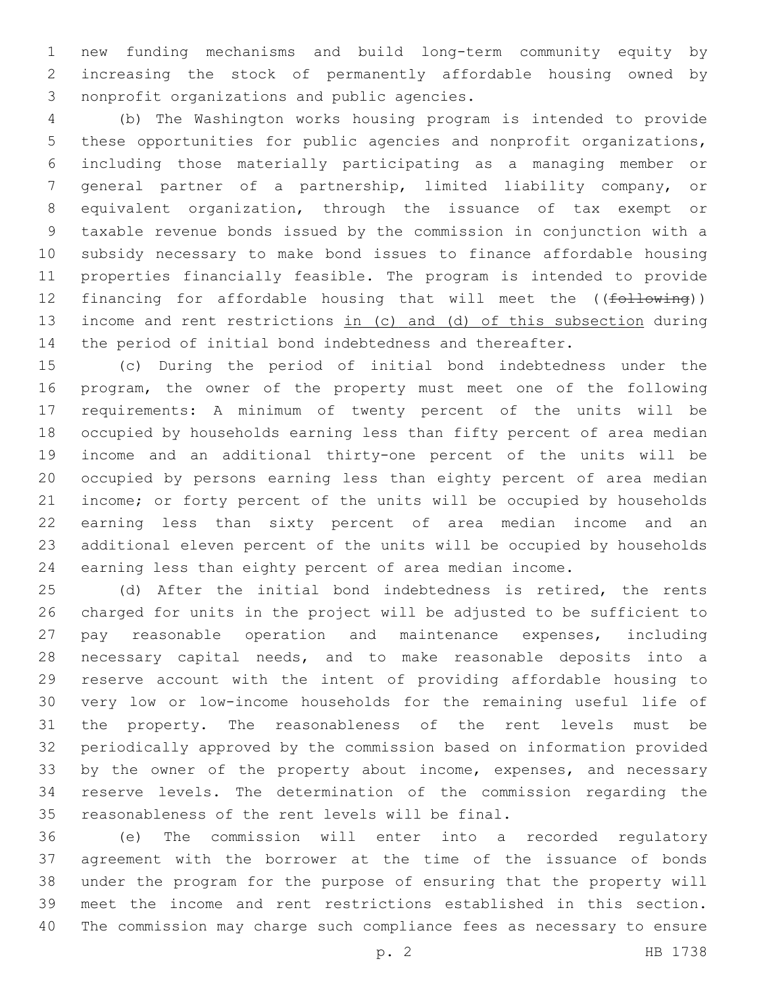new funding mechanisms and build long-term community equity by increasing the stock of permanently affordable housing owned by 3 nonprofit organizations and public agencies.

 (b) The Washington works housing program is intended to provide these opportunities for public agencies and nonprofit organizations, including those materially participating as a managing member or general partner of a partnership, limited liability company, or equivalent organization, through the issuance of tax exempt or taxable revenue bonds issued by the commission in conjunction with a subsidy necessary to make bond issues to finance affordable housing properties financially feasible. The program is intended to provide 12 financing for affordable housing that will meet the ((following)) income and rent restrictions in (c) and (d) of this subsection during the period of initial bond indebtedness and thereafter.

 (c) During the period of initial bond indebtedness under the program, the owner of the property must meet one of the following requirements: A minimum of twenty percent of the units will be occupied by households earning less than fifty percent of area median income and an additional thirty-one percent of the units will be occupied by persons earning less than eighty percent of area median income; or forty percent of the units will be occupied by households earning less than sixty percent of area median income and an additional eleven percent of the units will be occupied by households earning less than eighty percent of area median income.

 (d) After the initial bond indebtedness is retired, the rents charged for units in the project will be adjusted to be sufficient to pay reasonable operation and maintenance expenses, including necessary capital needs, and to make reasonable deposits into a reserve account with the intent of providing affordable housing to very low or low-income households for the remaining useful life of the property. The reasonableness of the rent levels must be periodically approved by the commission based on information provided 33 by the owner of the property about income, expenses, and necessary reserve levels. The determination of the commission regarding the 35 reasonableness of the rent levels will be final.

 (e) The commission will enter into a recorded regulatory agreement with the borrower at the time of the issuance of bonds under the program for the purpose of ensuring that the property will meet the income and rent restrictions established in this section. The commission may charge such compliance fees as necessary to ensure

p. 2 HB 1738